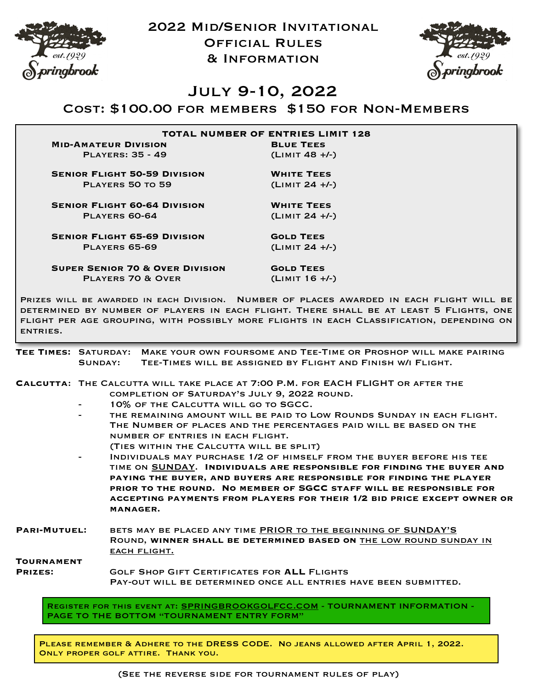

2022 Mid/Senior Invitational Official Rules

& Information



# July 9-10, 2022

#### Cost: \$100.00 for members \$150 for Non-Members

#### **TOTAL NUMBER OF ENTRIES LIMIT 128 Mid-Amateur Division Blue Tees**

Players: 35 - 49 (Limit 48 +/-)

**Senior Flight 50-59 Division White Tees**  Players 50 to 59 (Limit 24 +/-)

 **Senior Flight 60-64 Division White Tees**  Players 60-64 (Limit 24 +/-)

**Senior Flight 65-69 Division Gold Tees**  Players 65-69 (Limit 24 +/-)

**SUPER SENIOR 70 & OVER DIVISION GOLD TEES** Players 70 & Over (Limit 16 +/-)

Prizes will be awarded in each Division. Number of places awarded in each flight will be determined by number of players in each flight. There shall be at least 5 Flights, one flight per age grouping, with possibly more flights in each Classification, depending on entries.

**Tee Times:** Saturday: Make your own foursome and Tee-Time or Proshop will make pairing Sunday: Tee-Times will be assigned by Flight and Finish w/i Flight. **Calcutta**: The Calcutta will take place at 7:00 P.M. for EACH FLIGHT or after the completion of Saturday's July 9, 2022 round. 10% OF THE CALCUTTA WILL GO TO SGCC. THE REMAINING AMOUNT WILL BE PAID TO LOW ROUNDS SUNDAY IN EACH FLIGHT. The Number of places and the percentages paid will be based on the number of entries in each flight. (Ties within the Calcutta will be split) INDIVIDUALS MAY PURCHASE 1/2 OF HIMSELF FROM THE BUYER BEFORE HIS TEE time on SUNDAY. **Individuals are responsible for finding the buyer and paying the buyer, and buyers are responsible for finding the player prior to the round. No member of SGCC staff will be responsible for accepting payments from players for their 1/2 bid price except owner or manager. Pari-Mutuel:** bets may be placed any time PRIOR to the beginning of SUNDAY'S Round, **winner shall be determined based on** the low round sunday in EACH FLIGHT. **Tournament Prizes:** Golf Shop Gift Certificates for **ALL** Flights Pay-out will be determined once all entries have been submitted.

Register for this event at: [SPRINGBROOKGOLFCC.COM](http://SPRINGBROOKGOLFCC.COM) - TOURNAMENT INFORMATION - PAGE TO THE BOTTOM "TOURNAMENT ENTRY FORM"

Please remember & Adhere to the DRESS CODE. No jeans allowed after April 1, 2022. Only proper golf attire. Thank you.